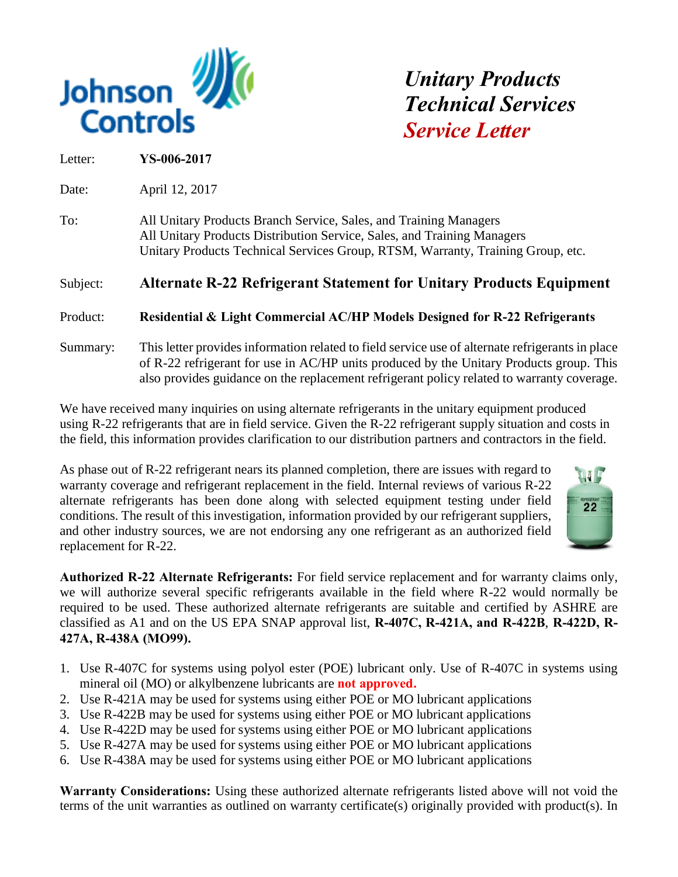

*Unitary Products Technical Services Service Letter* 

Letter: **YS-006-2017**

Date: April 12, 2017

To: All Unitary Products Branch Service, Sales, and Training Managers All Unitary Products Distribution Service, Sales, and Training Managers Unitary Products Technical Services Group, RTSM, Warranty, Training Group, etc.

## Subject: **Alternate R-22 Refrigerant Statement for Unitary Products Equipment**

Product: **Residential & Light Commercial AC/HP Models Designed for R-22 Refrigerants**

Summary: This letter provides information related to field service use of alternate refrigerants in place of R-22 refrigerant for use in AC/HP units produced by the Unitary Products group. This also provides guidance on the replacement refrigerant policy related to warranty coverage.

We have received many inquiries on using alternate refrigerants in the unitary equipment produced using R-22 refrigerants that are in field service. Given the R-22 refrigerant supply situation and costs in the field, this information provides clarification to our distribution partners and contractors in the field.

As phase out of R-22 refrigerant nears its planned completion, there are issues with regard to warranty coverage and refrigerant replacement in the field. Internal reviews of various R-22 alternate refrigerants has been done along with selected equipment testing under field conditions. The result of this investigation, information provided by our refrigerant suppliers, and other industry sources, we are not endorsing any one refrigerant as an authorized field replacement for R-22.



**Authorized R-22 Alternate Refrigerants:** For field service replacement and for warranty claims only, we will authorize several specific refrigerants available in the field where R-22 would normally be required to be used. These authorized alternate refrigerants are suitable and certified by ASHRE are classified as A1 and on the US EPA SNAP approval list, **R-407C, R-421A, and R-422B**, **R-422D, R-427A, R-438A (MO99).**

- 1. Use R-407C for systems using polyol ester (POE) lubricant only. Use of R-407C in systems using mineral oil (MO) or alkylbenzene lubricants are **not approved.**
- 2. Use R-421A may be used for systems using either POE or MO lubricant applications
- 3. Use R-422B may be used for systems using either POE or MO lubricant applications
- 4. Use R-422D may be used for systems using either POE or MO lubricant applications
- 5. Use R-427A may be used for systems using either POE or MO lubricant applications
- 6. Use R-438A may be used for systems using either POE or MO lubricant applications

**Warranty Considerations:** Using these authorized alternate refrigerants listed above will not void the terms of the unit warranties as outlined on warranty certificate(s) originally provided with product(s). In